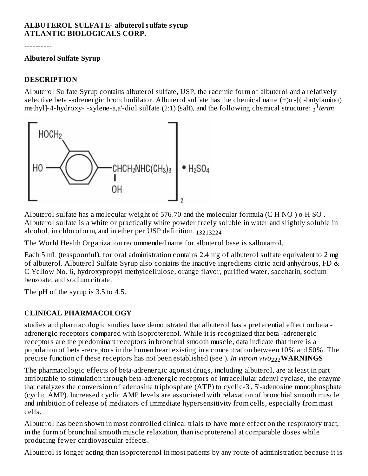### **ALBUTEROL SULFATE- albuterol sulfate syrup ATLANTIC BIOLOGICALS CORP.**

----------

#### **Albuterol Sulfate Syrup**

### **DESCRIPTION**

Albuterol Sulfate Syrup contains albuterol sulfate, USP, the racemic form of albuterol and a relatively selective beta -adrenergic bronchodilator. Albuterol sulfate has the chemical name  $(\pm)\alpha$  -[(-butylamino) methyl]-4-hydroxy- -xylene-a,a'-diol sulfate (2:1) (salt), and the following chemical structure: 2<sup>1</sup>tertm



Albuterol sulfate has a molecular weight of 576.70 and the molecular formula (C H NO ) o H SO . Albuterol sulfate is a white or practically white powder freely soluble in water and slightly soluble in alcohol, in chloroform, and in ether per USP definition. 13213224

The World Health Organization recommended name for albuterol base is salbutamol.

Each 5 mL (teaspoonful), for oral administration contains 2.4 mg of albuterol sulfate equivalent to 2 mg of albuterol. Albuterol Sulfate Syrup also contains the inactive ingredients citric acid anhydrous, FD & C Yellow No. 6, hydroxypropyl methylcellulose, orange flavor, purified water, saccharin, sodium benzoate, and sodium citrate.

The pH of the syrup is 3.5 to 4.5.

# **CLINICAL PHARMACOLOGY**

studies and pharmacologic studies have demonstrated that albuterol has a preferential effect on beta adrenergic receptors compared with isoproterenol. While it is recognized that beta -adrenergic receptors are the predominant receptors in bronchial smooth muscle, data indicate that there is a population of beta -receptors in the human heart existing in a concentration between 10% and 50%. The precise function of these receptors has not been established (see ). *In vitroin vivo*<sub>222</sub>WARNINGS

The pharmacologic effects of beta-adrenergic agonist drugs, including albuterol, are at least in part attributable to stimulation through beta-adrenergic receptors of intracellular adenyl cyclase, the enzyme that catalyzes the conversion of adenosine triphosphate (ATP) to cyclic-3', 5'-adenosine monophosphate (cyclic AMP). Increased cyclic AMP levels are associated with relaxation of bronchial smooth muscle and inhibition of release of mediators of immediate hypersensitivity from cells, especially from mast cells.

Albuterol has been shown in most controlled clinical trials to have more effect on the respiratory tract, in the form of bronchial smooth muscle relaxation, than isoproterenol at comparable doses while producing fewer cardiovascular effects.

Albuterol is longer acting than isoproterenol in most patients by any route of administration because it is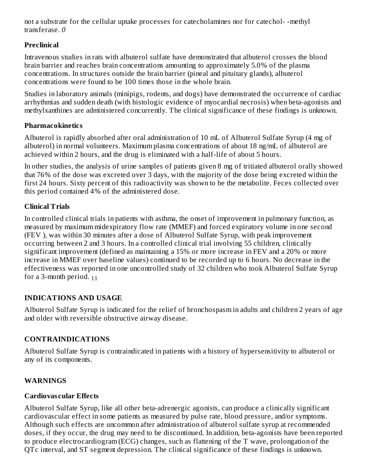not a substrate for the cellular uptake processes for catecholamines nor for catechol- -methyl transferase. *0*

# **Preclinical**

Intravenous studies in rats with albuterol sulfate have demonstrated that albuterol crosses the blood brain barrier and reaches brain concentrations amounting to approximately 5.0% of the plasma concentrations. In structures outside the brain barrier (pineal and pituitary glands), albuterol concentrations were found to be 100 times those in the whole brain.

Studies in laboratory animals (minipigs, rodents, and dogs) have demonstrated the occurrence of cardiac arrhythmias and sudden death (with histologic evidence of myocardial necrosis) when beta-agonists and methylxanthines are administered concurrently. The clinical significance of these findings is unknown.

# **Pharmacokinetics**

Albuterol is rapidly absorbed after oral administration of 10 mL of Albuterol Sulfate Syrup (4 mg of albuterol) in normal volunteers. Maximum plasma concentrations of about 18 ng/mL of albuterol are achieved within 2 hours, and the drug is eliminated with a half-life of about 5 hours.

In other studies, the analysis of urine samples of patients given 8 mg of tritiated albuterol orally showed that 76% of the dose was excreted over 3 days, with the majority of the dose being excreted within the first 24 hours. Sixty percent of this radioactivity was shown to be the metabolite. Feces collected over this period contained 4% of the administered dose.

# **Clinical Trials**

In controlled clinical trials in patients with asthma, the onset of improvement in pulmonary function, as measured by maximum midexpiratory flow rate (MMEF) and forced expiratory volume in one second (FEV ), was within 30 minutes after a dose of Albuterol Sulfate Syrup, with peak improvement occurring between 2 and 3 hours. In a controlled clinical trial involving 55 children, clinically significant improvement (defined as maintaining a 15% or more increase in FEV and a 20% or more increase in MMEF over baseline values) continued to be recorded up to 6 hours. No decrease in the effectiveness was reported in one uncontrolled study of 32 children who took Albuterol Sulfate Syrup for a 3-month period. <sub>11</sub>

### **INDICATIONS AND USAGE**

Albuterol Sulfate Syrup is indicated for the relief of bronchospasm in adults and children 2 years of age and older with reversible obstructive airway disease.

### **CONTRAINDICATIONS**

Albuterol Sulfate Syrup is contraindicated in patients with a history of hypersensitivity to albuterol or any of its components.

### **WARNINGS**

### **Cardiovas cular Effects**

Albuterol Sulfate Syrup, like all other beta-adrenergic agonists, can produce a clinically significant cardiovascular effect in some patients as measured by pulse rate, blood pressure, and/or symptoms. Although such effects are uncommon after administration of albuterol sulfate syrup at recommended doses, if they occur, the drug may need to be discontinued. In addition, beta-agonists have been reported to produce electrocardiogram (ECG) changes, such as flattening of the T wave, prolongation of the QTc interval, and ST segment depression. The clinical significance of these findings is unknown.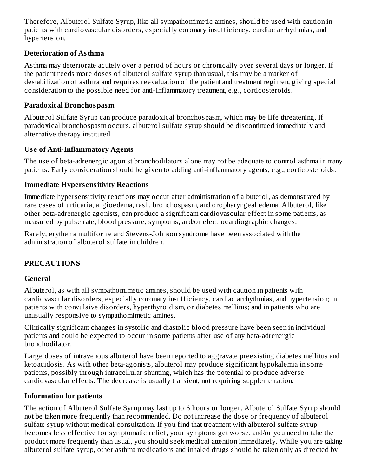Therefore, Albuterol Sulfate Syrup, like all sympathomimetic amines, should be used with caution in patients with cardiovascular disorders, especially coronary insufficiency, cardiac arrhythmias, and hypertension.

# **Deterioration of Asthma**

Asthma may deteriorate acutely over a period of hours or chronically over several days or longer. If the patient needs more doses of albuterol sulfate syrup than usual, this may be a marker of destabilization of asthma and requires reevaluation of the patient and treatment regimen, giving special consideration to the possible need for anti-inflammatory treatment, e.g., corticosteroids.

### **Paradoxical Bronchospasm**

Albuterol Sulfate Syrup can produce paradoxical bronchospasm, which may be life threatening. If paradoxical bronchospasm occurs, albuterol sulfate syrup should be discontinued immediately and alternative therapy instituted.

# **Us e of Anti-Inflammatory Agents**

The use of beta-adrenergic agonist bronchodilators alone may not be adequate to control asthma in many patients. Early consideration should be given to adding anti-inflammatory agents, e.g., corticosteroids.

# **Immediate Hypers ensitivity Reactions**

Immediate hypersensitivity reactions may occur after administration of albuterol, as demonstrated by rare cases of urticaria, angioedema, rash, bronchospasm, and oropharyngeal edema. Albuterol, like other beta-adrenergic agonists, can produce a significant cardiovascular effect in some patients, as measured by pulse rate, blood pressure, symptoms, and/or electrocardiographic changes.

Rarely, erythema multiforme and Stevens-Johnson syndrome have been associated with the administration of albuterol sulfate in children.

# **PRECAUTIONS**

# **General**

Albuterol, as with all sympathomimetic amines, should be used with caution in patients with cardiovascular disorders, especially coronary insufficiency, cardiac arrhythmias, and hypertension; in patients with convulsive disorders, hyperthyroidism, or diabetes mellitus; and in patients who are unusually responsive to sympathomimetic amines.

Clinically significant changes in systolic and diastolic blood pressure have been seen in individual patients and could be expected to occur in some patients after use of any beta-adrenergic bronchodilator.

Large doses of intravenous albuterol have been reported to aggravate preexisting diabetes mellitus and ketoacidosis. As with other beta-agonists, albuterol may produce significant hypokalemia in some patients, possibly through intracellular shunting, which has the potential to produce adverse cardiovascular effects. The decrease is usually transient, not requiring supplementation.

# **Information for patients**

The action of Albuterol Sulfate Syrup may last up to 6 hours or longer. Albuterol Sulfate Syrup should not be taken more frequently than recommended. Do not increase the dose or frequency of albuterol sulfate syrup without medical consultation. If you find that treatment with albuterol sulfate syrup becomes less effective for symptomatic relief, your symptoms get worse, and/or you need to take the product more frequently than usual, you should seek medical attention immediately. While you are taking albuterol sulfate syrup, other asthma medications and inhaled drugs should be taken only as directed by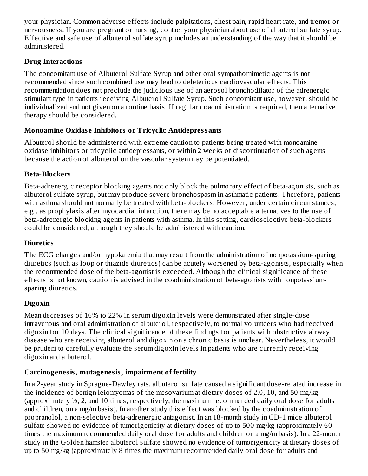your physician. Common adverse effects include palpitations, chest pain, rapid heart rate, and tremor or nervousness. If you are pregnant or nursing, contact your physician about use of albuterol sulfate syrup. Effective and safe use of albuterol sulfate syrup includes an understanding of the way that it should be administered.

# **Drug Interactions**

The concomitant use of Albuterol Sulfate Syrup and other oral sympathomimetic agents is not recommended since such combined use may lead to deleterious cardiovascular effects. This recommendation does not preclude the judicious use of an aerosol bronchodilator of the adrenergic stimulant type in patients receiving Albuterol Sulfate Syrup. Such concomitant use, however, should be individualized and not given on a routine basis. If regular coadministration is required, then alternative therapy should be considered.

# **Monoamine Oxidas e Inhibitors or Tricyclic Antidepressants**

Albuterol should be administered with extreme caution to patients being treated with monoamine oxidase inhibitors or tricyclic antidepressants, or within 2 weeks of discontinuation of such agents because the action of albuterol on the vascular system may be potentiated.

# **Beta-Blockers**

Beta-adrenergic receptor blocking agents not only block the pulmonary effect of beta-agonists, such as albuterol sulfate syrup, but may produce severe bronchospasm in asthmatic patients. Therefore, patients with asthma should not normally be treated with beta-blockers. However, under certain circumstances, e.g., as prophylaxis after myocardial infarction, there may be no acceptable alternatives to the use of beta-adrenergic blocking agents in patients with asthma. In this setting, cardioselective beta-blockers could be considered, although they should be administered with caution.

# **Diuretics**

The ECG changes and/or hypokalemia that may result from the administration of nonpotassium-sparing diuretics (such as loop or thiazide diuretics) can be acutely worsened by beta-agonists, especially when the recommended dose of the beta-agonist is exceeded. Although the clinical significance of these effects is not known, caution is advised in the coadministration of beta-agonists with nonpotassiumsparing diuretics.

# **Digoxin**

Mean decreases of 16% to 22% in serum digoxin levels were demonstrated after single-dose intravenous and oral administration of albuterol, respectively, to normal volunteers who had received digoxin for 10 days. The clinical significance of these findings for patients with obstructive airway disease who are receiving albuterol and digoxin on a chronic basis is unclear. Nevertheless, it would be prudent to carefully evaluate the serum digoxin levels in patients who are currently receiving digoxin and albuterol.

# **Carcinogenesis, mutagenesis, impairment of fertility**

In a 2-year study in Sprague-Dawley rats, albuterol sulfate caused a significant dose-related increase in the incidence of benign leiomyomas of the mesovarium at dietary doses of 2.0, 10, and 50 mg/kg (approximately  $\frac{1}{2}$ , 2, and 10 times, respectively, the maximum recommended daily oral dose for adults and children, on a mg/m basis). In another study this effect was blocked by the coadministration of propranolol, a non-selective beta-adrenergic antagonist. In an 18-month study in CD-1 mice albuterol sulfate showed no evidence of tumorigenicity at dietary doses of up to 500 mg/kg (approximately 60 times the maximum recommended daily oral dose for adults and children on a mg/m basis). In a 22-month study in the Golden hamster albuterol sulfate showed no evidence of tumorigenicity at dietary doses of up to 50 mg/kg (approximately 8 times the maximum recommended daily oral dose for adults and 222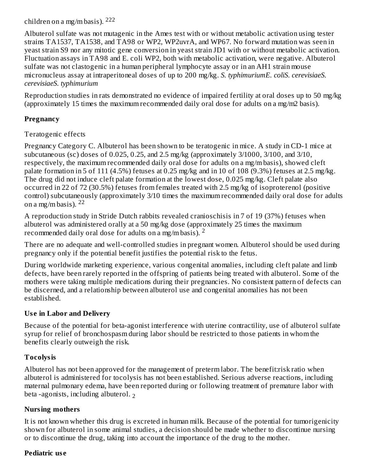children on a mg/m basis). 222

Albuterol sulfate was not mutagenic in the Ames test with or without metabolic activation using tester strains TA1537, TA1538, and TA98 or WP2, WP2uvrA, and WP67. No forward mutation was seen in yeast strain S9 nor any mitotic gene conversion in yeast strain JD1 with or without metabolic activation. Fluctuation assays in TA98 and E. coli WP2, both with metabolic activation, were negative. Albuterol sulfate was not clastogenic in a human peripheral lymphocyte assay or in an AH1 strain mouse micronucleus assay at intraperitoneal doses of up to 200 mg/kg. *S. typhimuriumE. coliS. cerevisiaeS. cerevisiaeS. typhimurium*

Reproduction studies in rats demonstrated no evidence of impaired fertility at oral doses up to 50 mg/kg (approximately 15 times the maximum recommended daily oral dose for adults on a mg/m2 basis).

# **Pregnancy**

# Teratogenic effects

Pregnancy Category C. Albuterol has been shown to be teratogenic in mice. A study in CD-1 mice at subcutaneous (sc) doses of 0.025, 0.25, and 2.5 mg/kg (approximately 3/1000, 3/100, and 3/10, respectively, the maximum recommended daily oral dose for adults on a mg/m basis), showed cleft palate formation in 5 of 111 (4.5%) fetuses at 0.25 mg/kg and in 10 of 108 (9.3%) fetuses at 2.5 mg/kg. The drug did not induce cleft palate formation at the lowest dose, 0.025 mg/kg. Cleft palate also occurred in 22 of 72 (30.5%) fetuses from females treated with 2.5 mg/kg of isoproterenol (positive control) subcutaneously (approximately 3/10 times the maximum recommended daily oral dose for adults on a mg/m basis).  $^{22}$ 

A reproduction study in Stride Dutch rabbits revealed cranioschisis in 7 of 19 (37%) fetuses when albuterol was administered orally at a 50 mg/kg dose (approximately 25 times the maximum recommended daily oral dose for adults on a mg/m basis). <sup>2</sup>

There are no adequate and well-controlled studies in pregnant women. Albuterol should be used during pregnancy only if the potential benefit justifies the potential risk to the fetus.

During worldwide marketing experience, various congenital anomalies, including cleft palate and limb defects, have been rarely reported in the offspring of patients being treated with albuterol. Some of the mothers were taking multiple medications during their pregnancies. No consistent pattern of defects can be discerned, and a relationship between albuterol use and congenital anomalies has not been established.

# **Us e in Labor and Delivery**

Because of the potential for beta-agonist interference with uterine contractility, use of albuterol sulfate syrup for relief of bronchospasm during labor should be restricted to those patients in whom the benefits clearly outweigh the risk.

# **Tocolysis**

Albuterol has not been approved for the management of preterm labor. The benefit:risk ratio when albuterol is administered for tocolysis has not been established. Serious adverse reactions, including maternal pulmonary edema, have been reported during or following treatment of premature labor with beta -agonists, including albuterol. 2

### **Nursing mothers**

It is not known whether this drug is excreted in human milk. Because of the potential for tumorigenicity shown for albuterol in some animal studies, a decision should be made whether to discontinue nursing or to discontinue the drug, taking into account the importance of the drug to the mother.

### **Pediatric us e**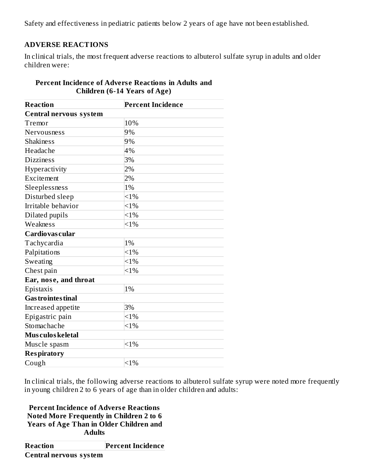Safety and effectiveness in pediatric patients below 2 years of age have not been established.

### **ADVERSE REACTIONS**

In clinical trials, the most frequent adverse reactions to albuterol sulfate syrup in adults and older children were:

| <b>Reaction</b>               | <b>Percent Incidence</b> |  |  |
|-------------------------------|--------------------------|--|--|
| <b>Central nervous system</b> |                          |  |  |
| Tremor                        | 10%                      |  |  |
| Nervousness                   | 9%                       |  |  |
| <b>Shakiness</b>              | 9%                       |  |  |
| Headache                      | 4%                       |  |  |
| <b>Dizziness</b>              | 3%                       |  |  |
| Hyperactivity                 | 2%                       |  |  |
| Excitement                    | 2%                       |  |  |
| Sleeplessness                 | 1%                       |  |  |
| Disturbed sleep               | $<1\%$                   |  |  |
| Irritable behavior            | <1%                      |  |  |
| Dilated pupils                | $<1\%$                   |  |  |
| Weakness                      | $<$ 1%                   |  |  |
| Cardiovas cular               |                          |  |  |
| Tachycardia                   | 1%                       |  |  |
| Palpitations                  | $< 1\%$                  |  |  |
| Sweating                      | $< 1\%$                  |  |  |
| Chest pain                    | $< 1\%$                  |  |  |
| Ear, nose, and throat         |                          |  |  |
| Epistaxis                     | 1%                       |  |  |
| <b>Gas trointes tinal</b>     |                          |  |  |
| Increased appetite            | 3%                       |  |  |
| Epigastric pain               | $< 1\%$                  |  |  |
| Stomachache                   | <1%                      |  |  |
| Mus culos keletal             |                          |  |  |
| Muscle spasm                  | <1%                      |  |  |
| <b>Respiratory</b>            |                          |  |  |
| Cough                         | $<1\%$                   |  |  |

# **Percent Incidence of Advers e Reactions in Adults and Children (6-14 Years of Age)**

In clinical trials, the following adverse reactions to albuterol sulfate syrup were noted more frequently in young children 2 to 6 years of age than in older children and adults:

**Percent Incidence of Advers e Reactions Noted More Frequently in Children 2 to 6 Years of Age Than in Older Children and Adults**

**Reaction Percent Incidence Central nervous system**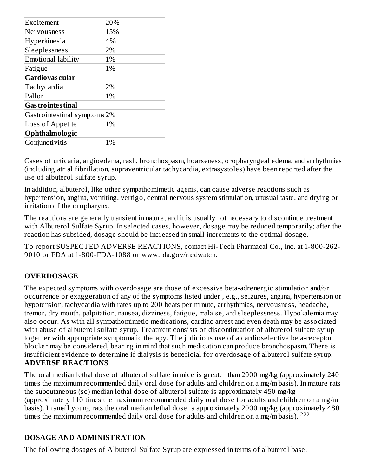| Excitement                              | 20% |  |
|-----------------------------------------|-----|--|
| Nervousness                             | 15% |  |
| Hyperkinesia                            | 4%  |  |
| Sleeplessness                           | 2%  |  |
| Emotional lability                      | 1%  |  |
| Fatigue                                 | 1%  |  |
| Cardiovas cular                         |     |  |
| Tachycardia                             | 2%  |  |
| Pallor                                  | 1%  |  |
| <b>Gas trointes tinal</b>               |     |  |
| Gastrointestinal symptoms <sup>2%</sup> |     |  |
| Loss of Appetite                        | 1%  |  |
| Ophthalmologic                          |     |  |
| Conjunctivitis                          | 1%  |  |
|                                         |     |  |

Cases of urticaria, angioedema, rash, bronchospasm, hoarseness, oropharyngeal edema, and arrhythmias (including atrial fibrillation, supraventricular tachycardia, extrasystoles) have been reported after the use of albuterol sulfate syrup.

In addition, albuterol, like other sympathomimetic agents, can cause adverse reactions such as hypertension, angina, vomiting, vertigo, central nervous system stimulation, unusual taste, and drying or irritation of the oropharynx.

The reactions are generally transient in nature, and it is usually not necessary to discontinue treatment with Albuterol Sulfate Syrup. In selected cases, however, dosage may be reduced temporarily; after the reaction has subsided, dosage should be increased in small increments to the optimal dosage.

To report SUSPECTED ADVERSE REACTIONS, contact Hi-Tech Pharmacal Co., Inc. at 1-800-262- 9010 or FDA at 1-800-FDA-1088 or www.fda.gov/medwatch.

# **OVERDOSAGE**

The expected symptoms with overdosage are those of excessive beta-adrenergic stimulation and/or occurrence or exaggeration of any of the symptoms listed under , e.g., seizures, angina, hypertension or hypotension, tachycardia with rates up to 200 beats per minute, arrhythmias, nervousness, headache, tremor, dry mouth, palpitation, nausea, dizziness, fatigue, malaise, and sleeplessness. Hypokalemia may also occur. As with all sympathomimetic medications, cardiac arrest and even death may be associated with abuse of albuterol sulfate syrup. Treatment consists of discontinuation of albuterol sulfate syrup together with appropriate symptomatic therapy. The judicious use of a cardioselective beta-receptor blocker may be considered, bearing in mind that such medication can produce bronchospasm. There is insufficient evidence to determine if dialysis is beneficial for overdosage of albuterol sulfate syrup. **ADVERSE REACTIONS**

The oral median lethal dose of albuterol sulfate in mice is greater than 2000 mg/kg (approximately 240 times the maximum recommended daily oral dose for adults and children on a mg/m basis). In mature rats the subcutaneous (sc) median lethal dose of albuterol sulfate is approximately 450 mg/kg (approximately 110 times the maximum recommended daily oral dose for adults and children on a mg/m basis). In small young rats the oral median lethal dose is approximately 2000 mg/kg (approximately 480 times the maximum recommended daily oral dose for adults and children on a mg/m basis). <sup>222</sup>

### **DOSAGE AND ADMINISTRATION**

The following dosages of Albuterol Sulfate Syrup are expressed in terms of albuterol base.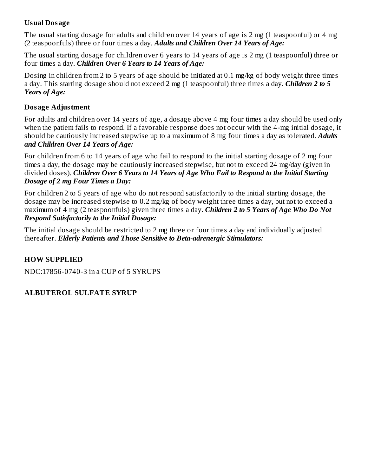### **Usual Dosage**

The usual starting dosage for adults and children over 14 years of age is 2 mg (1 teaspoonful) or 4 mg (2 teaspoonfuls) three or four times a day. *Adults and Children Over 14 Years of Age:*

The usual starting dosage for children over 6 years to 14 years of age is 2 mg (1 teaspoonful) three or four times a day. *Children Over 6 Years to 14 Years of Age:*

Dosing in children from 2 to 5 years of age should be initiated at 0.1 mg/kg of body weight three times a day. This starting dosage should not exceed 2 mg (1 teaspoonful) three times a day. *Children 2 to 5 Years of Age:*

### **Dosage Adjustment**

For adults and children over 14 years of age, a dosage above 4 mg four times a day should be used only when the patient fails to respond. If a favorable response does not occur with the 4-mg initial dosage, it should be cautiously increased stepwise up to a maximum of 8 mg four times a day as tolerated. *Adults and Children Over 14 Years of Age:*

For children from 6 to 14 years of age who fail to respond to the initial starting dosage of 2 mg four times a day, the dosage may be cautiously increased stepwise, but not to exceed 24 mg/day (given in divided doses). *Children Over 6 Years to 14 Years of Age Who Fail to Respond to the Initial Starting Dosage of 2 mg Four Times a Day:*

For children 2 to 5 years of age who do not respond satisfactorily to the initial starting dosage, the dosage may be increased stepwise to 0.2 mg/kg of body weight three times a day, but not to exceed a maximum of 4 mg (2 teaspoonfuls) given three times a day. *Children 2 to 5 Years of Age Who Do Not Respond Satisfactorily to the Initial Dosage:*

The initial dosage should be restricted to 2 mg three or four times a day and individually adjusted thereafter. *Elderly Patients and Those Sensitive to Beta-adrenergic Stimulators:*

# **HOW SUPPLIED**

NDC:17856-0740-3 in a CUP of 5 SYRUPS

# **ALBUTEROL SULFATE SYRUP**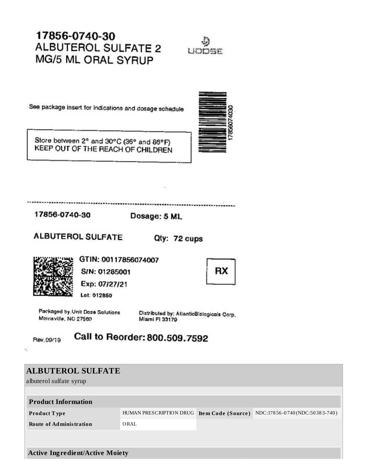# 17856-0740-30 **ALBUTEROL SULFATE 2** MG/5 ML ORAL SYRUP



See package insert for indications and dosage schedule

Store between 2<sup>e</sup> and 30°C (36° and 86°F) KEEP OUT OF THE REACH OF CHILDREN



................. ....................

17856-0740-30

Dosage: 5 ML

**ALBUTEROL SULFATE** 

Qty: 72 cups



GTIN: 00117856074007 S/N: 01285001



Exp: 07/27/21

Lot: 012850

Packaged by Unit Dose Solutions Morrisville, NC 27560

Distributed by: AtlanticBlologicals Corp. Miami FI 33179

Rev.09/19

 $\mathbf{c}$ 

Call to Reorder: 800.509.7592

| <b>ALBUTEROL SULFATE</b><br>albuterol sulfate syrup |                                            |  |                               |  |
|-----------------------------------------------------|--------------------------------------------|--|-------------------------------|--|
| <b>Product Information</b>                          |                                            |  |                               |  |
| <b>Product Type</b>                                 | HUMAN PRESCRIPTION DRUG Item Code (Source) |  | NDC:17856-0740(NDC:50383-740) |  |
| <b>Route of Administration</b>                      | ORAL                                       |  |                               |  |
|                                                     |                                            |  |                               |  |
|                                                     |                                            |  |                               |  |
| <b>Active Ingredient/Active Moiety</b>              |                                            |  |                               |  |